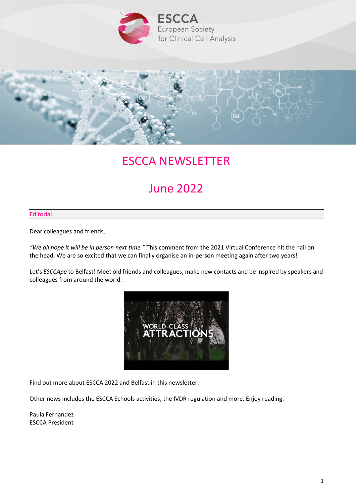



# ESCCA NEWSLETTER

# June 2022

## Editorial

Dear colleagues and friends,

*"We all hope it will be in person next time."* This comment from the 2021 Virtual Conference hit the nail on the head. We are so excited that we can finally organise an in-person meeting again after two years!

Let's *ESCCApe* to Belfast! Meet old friends and colleagues, make new contacts and be inspired by speakers and colleagues from around the world.



Find out more about ESCCA 2022 and Belfast in this newsletter.

Other news includes the ESCCA Schools activities, the IVDR regulation and more. Enjoy reading.

Paula Fernandez ESCCA President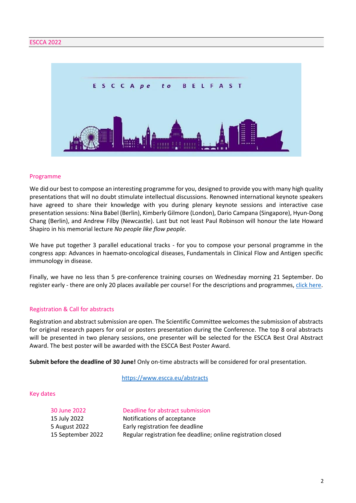

### Programme

We did our best to compose an interesting programme for you, designed to provide you with many high quality presentations that will no doubt stimulate intellectual discussions. Renowned international keynote speakers have agreed to share their knowledge with you during plenary keynote sessions and interactive case presentation sessions: Nina Babel (Berlin), Kimberly Gilmore (London), Dario Campana (Singapore), Hyun-Dong Chang (Berlin), and Andrew Filby (Newcastle). Last but not least Paul Robinson will honour the late Howard Shapiro in his memorial lecture *No people like flow people*.

We have put together 3 parallel educational tracks - for you to compose your personal programme in the congress app: Advances in haemato-oncological diseases, Fundamentals in Clinical Flow and Antigen specific immunology in disease.

Finally, we have no less than 5 pre-conference training courses on Wednesday morning 21 September. Do register early - there are only 20 places available per course! For the descriptions and programmes, [click here.](https://www.escca.eu/programme/programme)

# Registration & Call for abstracts

Registration and abstract submission are open. The Scientific Committee welcomes the submission of abstracts for original research papers for oral or posters presentation during the Conference. The top 8 oral abstracts will be presented in two plenary sessions, one presenter will be selected for the ESCCA Best Oral Abstract Award. The best poster will be awarded with the ESCCA Best Poster Award.

**Submit before the deadline of 30 June!** Only on-time abstracts will be considered for oral presentation.

<https://www.escca.eu/abstracts>

#### Key dates

| 30 June 2022      | Deadline for abstract submission                              |
|-------------------|---------------------------------------------------------------|
| 15 July 2022      | Notifications of acceptance                                   |
| 5 August 2022     | Early registration fee deadline                               |
| 15 September 2022 | Regular registration fee deadline; online registration closed |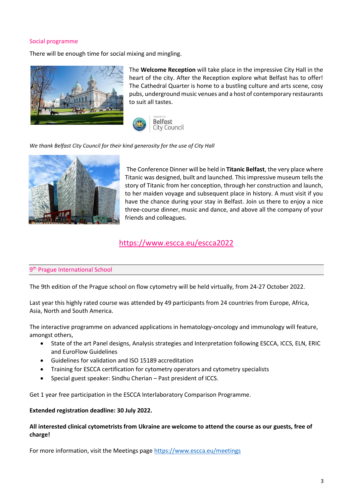# Social programme

There will be enough time for social mixing and mingling.



The **Welcome Reception** will take place in the impressive City Hall in the heart of the city. After the Reception explore what Belfast has to offer! The Cathedral Quarter is home to a bustling culture and arts scene, cosy pubs, underground music venues and a host of contemporary restaurants to suit all tastes.



*We thank Belfast City Council for their kind generosity for the use of City Hall*



The Conference Dinner will be held in **Titanic Belfast**, the very place where Titanic was designed, built and launched. This impressive museum tells the story of Titanic from her conception, through her construction and launch, to her maiden voyage and subsequent place in history. A must visit if you have the chance during your stay in Belfast. Join us there to enjoy a nice three-course dinner, music and dance, and above all the company of your friends and colleagues.

# <https://www.escca.eu/escca2022>

# 9<sup>th</sup> Prague International School

The 9th edition of the Prague school on flow cytometry will be held virtually, from 24-27 October 2022.

Last year this highly rated course was attended by 49 participants from 24 countries from Europe, Africa, Asia, North and South America.

The interactive programme on advanced applications in hematology-oncology and immunology will feature, amongst others,

- State of the art Panel designs, Analysis strategies and Interpretation following ESCCA, ICCS, ELN, ERIC and EuroFlow Guidelines
- Guidelines for validation and ISO 15189 accreditation
- Training for ESCCA certification for cytometry operators and cytometry specialists
- Special guest speaker: Sindhu Cherian Past president of ICCS.

Get 1 year free participation in the ESCCA Interlaboratory Comparison Programme.

# **Extended registration deadline: 30 July 2022.**

# **All interested clinical cytometrists from Ukraine are welcome to attend the course as our guests, free of charge!**

For more information, visit the Meetings page<https://www.escca.eu/meetings>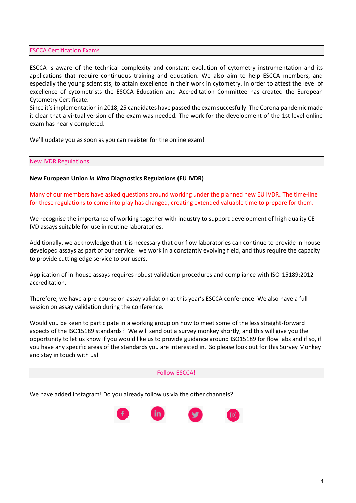### ESCCA Certification Exams

ESCCA is aware of the technical complexity and constant evolution of cytometry instrumentation and its applications that require continuous training and education. We also aim to help ESCCA members, and especially the young scientists, to attain excellence in their work in cytometry. In order to attest the level of excellence of cytometrists the ESCCA Education and Accreditation Committee has created the European Cytometry Certificate.

Since it's implementation in 2018, 25 candidates have passed the exam succesfully. The Corona pandemic made it clear that a virtual version of the exam was needed. The work for the development of the 1st level online exam has nearly completed.

We'll update you as soon as you can register for the online exam!

#### New IVDR Regulations

# **New European Union** *In Vitro* **Diagnostics Regulations (EU IVDR)**

Many of our members have asked questions around working under the planned new EU IVDR. The time-line for these regulations to come into play has changed, creating extended valuable time to prepare for them.

We recognise the importance of working together with industry to support development of high quality CE-IVD assays suitable for use in routine laboratories.

Additionally, we acknowledge that it is necessary that our flow laboratories can continue to provide in-house developed assays as part of our service: we work in a constantly evolving field, and thus require the capacity to provide cutting edge service to our users.

Application of in-house assays requires robust validation procedures and compliance with ISO-15189:2012 accreditation.

Therefore, we have a pre-course on assay validation at this year's ESCCA conference. We also have a full session on assay validation during the conference.

Would you be keen to participate in a working group on how to meet some of the less straight-forward aspects of the ISO15189 standards? We will send out a survey monkey shortly, and this will give you the opportunity to let us know if you would like us to provide guidance around ISO15189 for flow labs and if so, if you have any specific areas of the standards you are interested in. So please look out for this Survey Monkey and stay in touch with us!

#### Follow ESCCA!

We have added Instagram! Do you already follow us via the other channels?